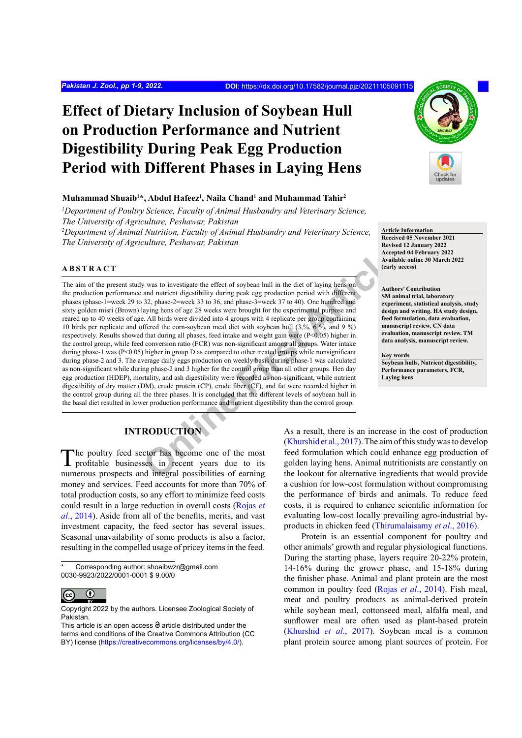# **Effect of Dietary Inclusion of Soybean Hull on Production Performance and Nutrient Digestibility During Peak Egg Production Period with Different Phases in Laying Hens**

#### **Muhammad Shuaib1 \*, Abdul Hafeez1 , Naila Chand1 and Muhammad Tahir2**

<sup>1</sup>Department of Poultry Science, Faculty of Animal Husbandry and Veterinary Science, *The University of Agriculture, Peshawar, Pakistan*

<sup>2</sup>Department of Animal Nutrition, Faculty of Animal Husbandry and Veterinary Science, *The University of Agriculture, Peshawar, Pakistan*

#### **ABSTRACT**

Accept and numient digestion in the distribution was to investigate the effect of soybean hull in the diet of laying hens on and nutrient digestibility during peak egg production period with different 32, phase-2-week 370 The aim of the present study was to investigate the effect of soybean hull in the diet of laying hens on the production performance and nutrient digestibility during peak egg production period with different phases (phase-1=week 29 to 32, phase-2=week 33 to 36, and phase-3=week 37 to 40). One hundred and sixty golden misri (Brown) laying hens of age 28 weeks were brought for the experimental purpose and reared up to 40 weeks of age. All birds were divided into 4 groups with 4 replicate per group containing 10 birds per replicate and offered the corn-soybean meal diet with soybean hull (3,%, 6 %, and 9 %) respectively. Results showed that during all phases, feed intake and weight gain were (P<0.05) higher in the control group, while feed conversion ratio (FCR) was non-significant among all groups. Water intake during phase-1 was  $(P<0.05)$  higher in group D as compared to other treated groups while nonsignificant during phase-2 and 3. The average daily eggs production on weekly basis during phase-1 was calculated as non-significant while during phase-2 and 3 higher for the control group than all other groups. Hen day egg production (HDEP), mortality, and ash digestibility were recorded as non-significant, while nutrient digestibility of dry matter (DM), crude protein (CP), crude fiber (CF), and fat were recorded higher in the control group during all the three phases. It is concluded that the different levels of soybean hull in the basal diet resulted in lower production performance and nutrient digestibility than the control group.

**Article Information Received 05 November 2021 Revised 12 January 2022 Accepted 04 February 2022 Available online 30 March 2022 (early access)**

#### **Authors' Contribution**

**SM animal trial, laboratory experiment, statistical analysis, study design and writing. HA study design, feed formulation, data evaluation, manuscript review. CN data evaluation, manuscript review. TM data analysis, manuscript review.**

**Key words**

**Soybean hulls, Nutrient digestibility, Performance parameters, FCR, Laying hens**

# **INTRODUCTION**

The poultry feed sector has become one of the most profitable businesses in recent years due to its numerous prospects and integral possibilities of earning money and services. Feed accounts for more than 70% of total production costs, so any effort to minimize feed costs could result in a large reduction in overall costs [\(Rojas](#page-7-0) *et al*[., 2014](#page-7-0)). Aside from all of the benefits, merits, and vast investment capacity, the feed sector has several issues. Seasonal unavailability of some products is also a factor, resulting in the compelled usage of pricey items in the feed.

Corresponding author: shoaibwzr@gmail.com 0030-9923/2022/0001-0001 \$ 9.00/0

$$
\begin{matrix}\n\mathbf{G} & \mathbf{0} \\
\vdots & \vdots \\
\mathbf{0}\n\end{matrix}
$$

As a result, there is an increase in the cost of production (Khurshid et al., 2017). The aim of this study was to develop feed formulation which could enhance egg production of golden laying hens. Animal nutritionists are constantly on the lookout for alternative ingredients that would provide a cushion for low-cost formulation without compromising the performance of birds and animals. To reduce feed costs, it is required to enhance scientific information for evaluating low-cost locally prevailing agro-industrial byproducts in chicken feed ([Thirumalaisamy](#page-8-0) *et al*., 2016).

Protein is an essential component for poultry and other animals' growth and regular physiological functions. During the starting phase, layers require 20-22% protein, 14-16% during the grower phase, and 15-18% during the finisher phase. Animal and plant protein are the most common in poultry feed (Rojas *et al*[., 2014](#page-7-0)). Fish meal, meat and poultry products as animal-derived protein while soybean meal, cottonseed meal, alfalfa meal, and sunflower meal are often used as plant-based protein [\(Khurshid](#page-7-1) *et al*., 2017). Soybean meal is a common plant protein source among plant sources of protein. For

Copyright 2022 by the authors. Licensee Zoological Society of Pakistan.

This article is an open access  $\Theta$  article distributed under the terms and conditions of the Creative Commons Attribution (CC BY) license (https://creativecommons.org/licenses/by/4.0/).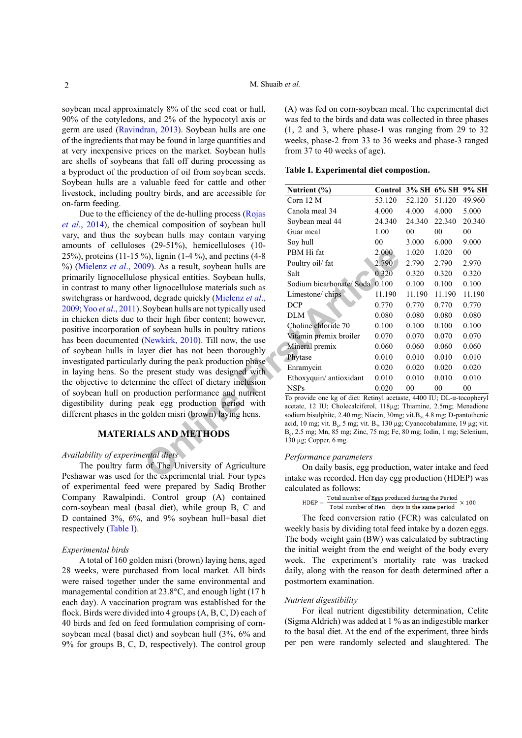soybean meal approximately 8% of the seed coat or hull, 90% of the cotyledons, and 2% of the hypocotyl axis or germ are used [\(Ravindran, 2013](#page-7-2)). Soybean hulls are one of the ingredients that may be found in large quantities and at very inexpensive prices on the market. Soybean hulls are shells of soybeans that fall off during processing as a byproduct of the production of oil from soybean seeds. Soybean hulls are a valuable feed for cattle and other livestock, including poultry birds, and are accessible for on-farm feeding.

From the effect of dietary inclusion<br> **OF THE University of Article**<br> **OP** As a result, soybean hulls are<br> **OP** As a result, soybean hulls are<br>
e physical entities. Soybean hulls,<br>
Soybean Huls are the south of the social Due to the efficiency of the de-hulling process ([Rojas](#page-7-0) *et al*[., 2014\)](#page-7-0), the chemical composition of soybean hull vary, and thus the soybean hulls may contain varying amounts of celluloses (29-51%), hemicelluloses (10- 25%), proteins (11-15 %), lignin (1-4 %), and pectins (4-8 %) [\(Mielenz](#page-7-3) *et al*., 2009). As a result, soybean hulls are primarily lignocellulose physical entities. Soybean hulls, in contrast to many other lignocellulose materials such as switchgrass or hardwood, degrade quickly (Mielenz *et al*., [2009;](#page-7-3) Yoo *et al*[., 2011](#page-8-1)). Soybean hulls are not typically used in chicken diets due to their high fiber content; however, positive incorporation of soybean hulls in poultry rations has been documented (Newkirk, 2010). Till now, the use of soybean hulls in layer diet has not been thoroughly investigated particularly during the peak production phase in laying hens. So the present study was designed with the objective to determine the effect of dietary inclusion of soybean hull on production performance and nutrient digestibility during peak egg production period with different phases in the golden misri (brown) laying hens.

### **MATERIALS AND METHODS**

#### *Availability of experimental diets*

The poultry farm of The University of Agriculture Peshawar was used for the experimental trial. Four types of experimental feed were prepared by Sadiq Brother Company Rawalpindi. Control group (A) contained corn-soybean meal (basal diet), while group B, C and D contained 3%, 6%, and 9% soybean hull+basal diet respectively ([Table I\)](#page-1-0).

#### *Experimental birds*

A total of 160 golden misri (brown) laying hens, aged 28 weeks, were purchased from local market. All birds were raised together under the same environmental and managemental condition at 23.8°C, and enough light (17 h each day). A vaccination program was established for the flock. Birds were divided into 4 groups (A, B, C, D) each of 40 birds and fed on feed formulation comprising of cornsoybean meal (basal diet) and soybean hull (3%, 6% and 9% for groups B, C, D, respectively). The control group (A) was fed on corn-soybean meal. The experimental diet was fed to the birds and data was collected in three phases (1, 2 and 3, where phase-1 was ranging from 29 to 32 weeks, phase-2 from 33 to 36 weeks and phase-3 ranged from 37 to 40 weeks of age).

<span id="page-1-0"></span>**Table I. Experimental diet compostion.**

| Nutrient $(\% )$        | Control |        | 3% SH 6% SH | 9% SH  |
|-------------------------|---------|--------|-------------|--------|
| Corn $12 M$             | 53.120  | 52.120 | 51.120      | 49.960 |
| Canola meal 34          | 4.000   | 4.000  | 4.000       | 5.000  |
| Soybean meal 44         | 24.340  | 24.340 | 22.340      | 20.340 |
| Guar meal               | 1.00    | 00     | 00          | 00     |
| Soy hull                | 00      | 3.000  | 6.000       | 9.000  |
| PBM Hi fat              | 2.000   | 1.020  | 1.020       | 00     |
| Poultry oil/ fat        | 2.790   | 2.790  | 2.790       | 2.970  |
| Salt                    | 0.320   | 0.320  | 0.320       | 0.320  |
| Sodium bicarbonate/Soda | 0.100   | 0.100  | 0.100       | 0.100  |
| Limestone/chips         | 11.190  | 11.190 | 11.190      | 11.190 |
| <b>DCP</b>              | 0.770   | 0.770  | 0.770       | 0.770  |
| DLM                     | 0.080   | 0.080  | 0.080       | 0.080  |
| Choline chloride 70     | 0.100   | 0.100  | 0.100       | 0.100  |
| Vitamin premix broiler  | 0.070   | 0.070  | 0.070       | 0.070  |
| Mineral premix          | 0.060   | 0.060  | 0.060       | 0.060  |
| Phytase                 | 0.010   | 0.010  | 0.010       | 0.010  |
| Enramycin               | 0.020   | 0.020  | 0.020       | 0.020  |
| Ethoxyquin/antioxidant  | 0.010   | 0.010  | 0.010       | 0.010  |
| <b>NSPs</b>             | 0.020   | 00     | 00          | 00     |

To provide one kg of diet: Retinyl acetaste, 4400 IU; DL-α-tocopheryl acetate, 12 IU; Cholecalciferol, 118µg; Thiamine, 2.5mg; Menadione sodium bisulphite, 2.40 mg; Niacin, 30mg; vit.B<sub>2</sub>, 4.8 mg; D-pantothenic acid, 10 mg; vit. B<sub>6</sub>, 5 mg; vit. B<sub>7</sub>, 130 µg; Cyanocobalamine, 19 µg; vit. B9 , 2.5 mg; Mn, 85 mg; Zinc, 75 mg; Fe, 80 mg; Iodin, 1 mg; Selenium, 130 µg; Copper, 6 mg.

#### *Performance parameters*

On daily basis, egg production, water intake and feed intake was recorded. Hen day egg production (HDEP) was

```
calculated as follows:<br>HDEP = \frac{\text{Total number of Eggs produced during the Period}}{\text{Total number of Hen – days in the same period}}\times 100
```
The feed conversion ratio (FCR) was calculated on weekly basis by dividing total feed intake by a dozen eggs. The body weight gain (BW) was calculated by subtracting the initial weight from the end weight of the body every week. The experiment's mortality rate was tracked daily, along with the reason for death determined after a postmortem examination.

#### *Nutrient digestibility*

For ileal nutrient digestibility determination, Celite (Sigma Aldrich) was added at 1 % as an indigestible marker to the basal diet. At the end of the experiment, three birds per pen were randomly selected and slaughtered. The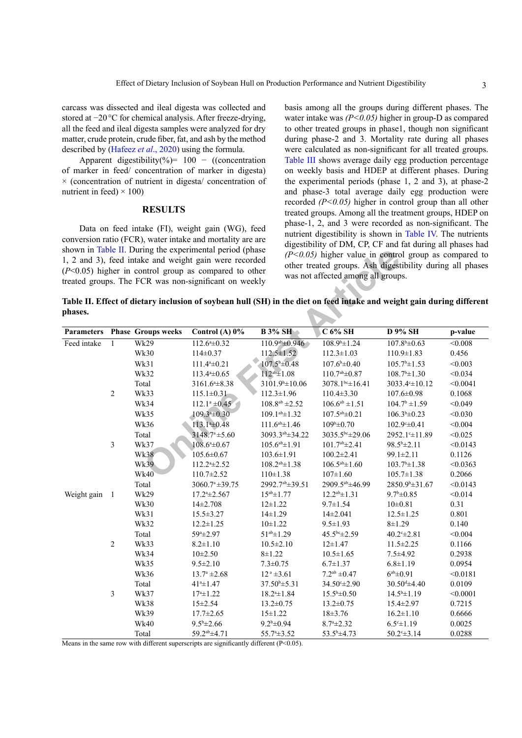carcass was dissected and ileal digesta was collected and stored at −20°C for chemical analysis. After freeze-drying, all the feed and ileal digesta samples were analyzed for dry matter, crude protein, crude fiber, fat, and ash by the method described by ([Hafeez](#page-6-0) *et al*., 2020) using the formula.

Apparent digestibility(%)=  $100 - ($ (concentration of marker in feed/ concentration of marker in digesta)  $\times$  (concentration of nutrient in digesta/ concentration of nutrient in feed)  $\times$  100)

#### **RESULTS**

Data on feed intake (FI), weight gain (WG), feed conversion ratio (FCR), water intake and mortality are are shown in [Table II.](#page-2-0) During the experimental period (phase 1, 2 and 3), feed intake and weight gain were recorded (*P*<0.05) higher in control group as compared to other treated groups. The FCR was non-significant on weekly basis among all the groups during different phases. The water intake was *(P<0.05)* higher in group-D as compared to other treated groups in phase1, though non significant during phase-2 and 3. Mortality rate during all phases were calculated as non-significant for all treated groups. [Table III](#page-3-0) shows average daily egg production percentage on weekly basis and HDEP at different phases. During the experimental periods (phase 1, 2 and 3), at phase-2 and phase-3 total average daily egg production were recorded *(P<0.05)* higher in control group than all other treated groups. Among all the treatment groups, HDEP on phase-1, 2, and 3 were recorded as non-significant. The nutrient digestibility is shown in [Table IV](#page-3-1). The nutrients digestibility of DM, CP, CF and fat during all phases had *(P<0.05)* higher value in control group as compared to other treated groups. Ash digestibility during all phases was not affected among all groups.

<span id="page-2-0"></span>**Table II. Effect of dietary inclusion of soybean hull (SH) in the diet on feed intake and weight gain during different phases.**

|                   |                |                           | shown in Table II. During the experimental period (phase<br>1, 2 and 3), feed intake and weight gain were recorded     |                                   | $(P<0.05)$ higher value in control group as compared to   |                            |          |
|-------------------|----------------|---------------------------|------------------------------------------------------------------------------------------------------------------------|-----------------------------------|-----------------------------------------------------------|----------------------------|----------|
|                   |                |                           | $(P<0.05)$ higher in control group as compared to other                                                                |                                   | other treated groups. Ash digestibility during all phases |                            |          |
|                   |                |                           | treated groups. The FCR was non-significant on weekly                                                                  |                                   | was not affected among all groups.                        |                            |          |
|                   |                |                           |                                                                                                                        |                                   |                                                           |                            |          |
|                   |                |                           | Table II. Effect of dietary inclusion of soybean hull (SH) in the diet on feed intake and weight gain during different |                                   |                                                           |                            |          |
| phases.           |                |                           |                                                                                                                        |                                   |                                                           |                            |          |
|                   |                |                           |                                                                                                                        |                                   |                                                           |                            |          |
| <b>Parameters</b> |                | <b>Phase Groups weeks</b> | Control (A) $0\%$                                                                                                      | <b>B</b> 3% SH                    | $C$ 6% SH                                                 | <b>D</b> 9% SH             | p-value  |
| Feed intake       | $\mathbf{1}$   | Wk29                      | $112.6^{\mathrm{a}}\pm0.32$                                                                                            | $110.9^{ab} \pm 0.946$            | $108.9^{\circ} \pm 1.24$                                  | $107.8^{b} \pm 0.63$       | < 0.008  |
|                   |                | Wk30                      | $114 \pm 0.37$                                                                                                         | $112.5 \pm 1.52$                  | $112.3 \pm 1.03$                                          | $110.9 \pm 1.83$           | 0.456    |
|                   |                | Wk31                      | $111.4a \pm 0.21$                                                                                                      | $107.5^{\text{b}}\pm0.48$         | $107.6^{\text{b}}\pm0.40$                                 | $105.7^{\rm b} \pm 1.53$   | < 0.003  |
|                   |                | Wk32                      | $113.44 \pm 0.65$                                                                                                      | $112^{ab} \pm 1.08$               | $110.7^{ab} \pm 0.87$                                     | $108.7^b \pm 1.30$         | < 0.034  |
|                   |                | Total                     | $3161.64 \pm 8.38$                                                                                                     | $3101.9$ <sup>b</sup> $\pm$ 10.06 | 3078.1bc±16.41                                            | 3033.4 £10.12              | < 0.0041 |
|                   | $\overline{2}$ | Wk33                      | $115.1 \pm 0.31$                                                                                                       | $112.3 \pm 1.96$                  | $110.4 \pm 3.30$                                          | $107.6 \pm 0.98$           | 0.1068   |
|                   |                | Wk34                      | $112.1^a \pm 0.45$                                                                                                     | $108.8^{ab}$ ±2.52                | $106.6^{ab} \pm 1.51$                                     | $104.7^{\rm b}$ ±1.59      | < 0.049  |
|                   |                | Wk35                      | $109.3a \pm 0.30$                                                                                                      | $109.1^{ab} \pm 1.32$             | $107.5^{ab} \pm 0.21$                                     | $106.3^{b} \pm 0.23$       | < 0.030  |
|                   |                | Wk36                      | 113.140.48                                                                                                             | $111.6^{ab} \pm 1.46$             | $109b\pm 0.70$                                            | $102.9° \pm 0.41$          | < 0.004  |
|                   |                | Total                     | $3148.7^{\circ}$ ±5.60                                                                                                 | 3093.3ab±34.22                    | 3035.5bc±29.06                                            | 2952.1 <sup>c</sup> ±11.89 | < 0.025  |
|                   | 3              | Wk37                      | $108.6^{\circ} \pm 0.67$                                                                                               | $105.6^{ab} \pm 1.91$             | $101.7^{ab} \pm 2.41$                                     | $98.5^{\rm b} \pm 2.11$    | < 0.0143 |
|                   |                | <b>Wk38</b>               | 105.6±0.67                                                                                                             | $103.6 \pm 1.91$                  | $100.2 \pm 2.41$                                          | 99.1±2.11                  | 0.1126   |
|                   |                | <b>Wk39</b>               | 112.2 <sup>a</sup> ±2.52                                                                                               | $108.2^{ab} \pm 1.38$             | $106.5^{ab} \pm 1.60$                                     | $103.7^{\circ}\pm1.38$     | < 0.0363 |
|                   |                | <b>Wk40</b>               | $110.7 \pm 2.52$                                                                                                       | $110 \pm 1.38$                    | $107 \pm 1.60$                                            | $105.7 \pm 1.38$           | 0.2066   |
|                   |                | Total                     | $3060.7a \pm 39.75$                                                                                                    | 2992.7ab±39.51                    | 2909.5ab±46.99                                            | 2850.9 <sup>b</sup> ±31.67 | < 0.0143 |
| Weight gain 1     |                | Wk29                      | $17.24 \pm 2.567$                                                                                                      | $15^{ab} \pm 1.77$                | $12.2^{ab} \pm 1.31$                                      | $9.7^{\rm b} \pm 0.85$     | < 0.014  |
|                   |                | Wk30                      | $14\pm 2.708$                                                                                                          | $12 \pm 1.22$                     | $9.7 \pm 1.54$                                            | $10\pm0.81$                | 0.31     |
|                   |                | Wk31                      | $15.5 \pm 3.27$                                                                                                        | $14 \pm 1.29$                     | $14\pm2.041$                                              | $12.5 \pm 1.25$            | 0.801    |
|                   |                | Wk32                      | $12.2 \pm 1.25$                                                                                                        | $10+1.22$                         | $9.5 \pm 1.93$                                            | $8 + 1.29$                 | 0.140    |
|                   |                | Total                     | 59 <sup>a</sup> ±2.97                                                                                                  | $51^{ab} \pm 1.29$                | 45.5 <sup>bc</sup> ±2.59                                  | $40.2^{\circ}$ ±2.81       | < 0.004  |
|                   | $\overline{2}$ | Wk33                      | $8.2 \pm 1.10$                                                                                                         | $10.5 \pm 2.10$                   | $12 \pm 1.47$                                             | $11.5 \pm 2.25$            | 0.1166   |
|                   |                | Wk34                      | $10 \pm 2.50$                                                                                                          | $8 + 1.22$                        | $10.5 \pm 1.65$                                           | $7.5 + 4.92$               | 0.2938   |
|                   |                | Wk35                      | $9.5 \pm 2.10$                                                                                                         | $7.3 \pm 0.75$                    | $6.7 \pm 1.37$                                            | $6.8 \pm 1.19$             | 0.0954   |
|                   |                | Wk36                      | $13.7^a \pm 2.68$                                                                                                      | $12^a \pm 3.61$                   | $7.2^{ab} \pm 0.47$                                       | $6^{ab} \pm 0.91$          | < 0.0181 |
|                   |                | Total                     | $41*1.47$                                                                                                              | $37.50^{\circ}$ ±5.31             | 34.50° ± 2.90                                             | $30.504 \pm 4.40$          | 0.0109   |
|                   | 3              | Wk37                      | $17^{\circ}$ ± 1.22                                                                                                    | $18.24 \pm 1.84$                  | $15.5^{\circ} \pm 0.50$                                   | $14.5^{\circ}$ ±1.19       | < 0.0001 |
|                   |                | Wk38                      | $15 \pm 2.54$                                                                                                          | $13.2 \pm 0.75$                   | $13.2 \pm 0.75$                                           | $15.4 \pm 2.97$            | 0.7215   |
|                   |                | Wk39                      | $17.7 \pm 2.65$                                                                                                        | $15 \pm 1.22$                     | $18 \pm 3.76$                                             | $16.2 \pm 1.10$            | 0.6666   |
|                   |                | <b>Wk40</b>               | $9.5^{\rm b} \pm 2.66$                                                                                                 | $9.2^b \pm 0.94$                  | $8.74 \pm 2.32$                                           | $6.5^{\circ}$ ±1.19        | 0.0025   |
|                   |                | Total                     | 59.2ab ±4.71                                                                                                           | 55.7 <sup>a</sup> ±3.52           | $53.5^{\rm b} \pm 4.73$                                   | $50.2^{\circ} \pm 3.14$    | 0.0288   |

Means in the same row with different superscripts are significantly different (P<0.05).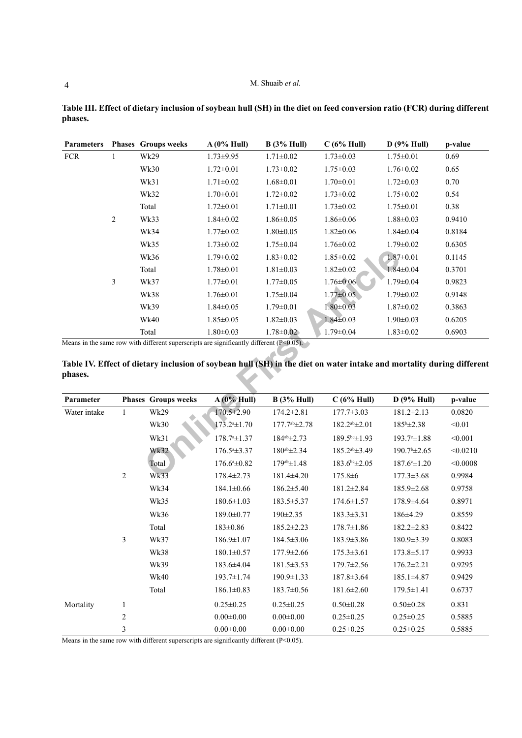| <b>Parameters</b> |                | <b>Phases</b> Groups weeks                                                                 | A(0% Hull)                   | B(3% Hull)            | $C(6%$ Hull)                                                                                                          | D(9% Hull)               | p-value  |
|-------------------|----------------|--------------------------------------------------------------------------------------------|------------------------------|-----------------------|-----------------------------------------------------------------------------------------------------------------------|--------------------------|----------|
| <b>FCR</b>        | 1              | Wk29                                                                                       | $1.73 \pm 9.95$              | $1.71 \pm 0.02$       | $1.73 \pm 0.03$                                                                                                       | $1.75 \pm 0.01$          | 0.69     |
|                   |                | Wk30                                                                                       | $1.72 \pm 0.01$              | $1.73 \pm 0.02$       | $1.75 \pm 0.03$                                                                                                       | $1.76 \pm 0.02$          | 0.65     |
|                   |                | Wk31                                                                                       | $1.71 \pm 0.02$              | $1.68 \pm 0.01$       | $1.70 \pm 0.01$                                                                                                       | $1.72 \pm 0.03$          | 0.70     |
|                   |                | Wk32                                                                                       | $1.70 \pm 0.01$              | $1.72 \pm 0.02$       | $1.73 \pm 0.02$                                                                                                       | $1.75 \pm 0.02$          | 0.54     |
|                   |                | Total                                                                                      | $1.72 \pm 0.01$              | $1.71 \pm 0.01$       | $1.73 \pm 0.02$                                                                                                       | $1.75 \pm 0.01$          | 0.38     |
|                   | $\overline{c}$ | Wk33                                                                                       | $1.84 \pm 0.02$              | $1.86 \pm 0.05$       | $1.86 \pm 0.06$                                                                                                       | $1.88 \pm 0.03$          | 0.9410   |
|                   |                | Wk34                                                                                       | $1.77 \pm 0.02$              | $1.80 \pm 0.05$       | $1.82 \pm 0.06$                                                                                                       | $1.84 \pm 0.04$          | 0.8184   |
|                   |                | Wk35                                                                                       | $1.73 \pm 0.02$              | $1.75 \pm 0.04$       | $1.76 \pm 0.02$                                                                                                       | $1.79 \pm 0.02$          | 0.6305   |
|                   |                | Wk36                                                                                       | $1.79 \pm 0.02$              | $1.83 \pm 0.02$       | $1.85 \pm 0.02$                                                                                                       | $1.87 \pm 0.01$          | 0.1145   |
|                   |                | Total                                                                                      | $1.78 \pm 0.01$              | $1.81 \pm 0.03$       | $1.82 \pm 0.02$                                                                                                       | $1.84 \pm 0.04$          | 0.3701   |
|                   | 3              | Wk37                                                                                       | $1.77 \pm 0.01$              | $1.77 \pm 0.05$       | $1.76 \pm 0.06$                                                                                                       | $1.79 \pm 0.04$          | 0.9823   |
|                   |                | Wk38                                                                                       | $1.76 \pm 0.01$              | $1.75 \pm 0.04$       | $1.77 \pm 0.05$                                                                                                       | $1.79 \pm 0.02$          | 0.9148   |
|                   |                | <b>Wk39</b>                                                                                | $1.84 \pm 0.05$              | $1.79 \pm 0.01$       | $1.80 \pm 0.03$                                                                                                       | $1.87 \pm 0.02$          | 0.3863   |
|                   |                | <b>Wk40</b>                                                                                | $1.85 \pm 0.05$              | $1.82 \pm 0.03$       | $1.84 \pm 0.03$                                                                                                       | $1.90 \pm 0.03$          | 0.6205   |
|                   |                | Total                                                                                      | $1.80 \pm 0.03$              | $1.78 \pm 0.02$       | $1.79 \pm 0.04$                                                                                                       | $1.83 \pm 0.02$          | 0.6903   |
|                   |                | Means in the same row with different superscripts are significantly different $(P<0.05)$ . |                              |                       |                                                                                                                       |                          |          |
|                   |                |                                                                                            |                              |                       | Table IV. Effect of dietary inclusion of soybean hull (SH) in the diet on water intake and mortality during different |                          |          |
| phases.           |                |                                                                                            |                              |                       |                                                                                                                       |                          |          |
|                   |                |                                                                                            |                              |                       |                                                                                                                       |                          |          |
| Parameter         |                | <b>Phases Groups weeks</b>                                                                 | $A(0\% Hull)$                | B(3% Hull)            | C(6% Hull)                                                                                                            | D(9% Hull)               | p-value  |
| Water intake      | $\mathbf{1}$   | Wk29                                                                                       | 170.5±2.90                   | $174.2 \pm 2.81$      | $177.7 \pm 3.03$                                                                                                      | $181.2 \pm 2.13$         | 0.0820   |
|                   |                | Wk30                                                                                       | $173.24 \pm 1.70$            | $177.7^{ab} \pm 2.78$ | $182.2^{ab} \pm 2.01$                                                                                                 | $185^{\rm b} \pm 2.38$   | < 0.01   |
|                   |                | Wk31                                                                                       | $178.74 \pm 1.37$            | $184^{ab} \pm 2.73$   | $189.5^{bc} \pm 1.93$                                                                                                 | $193.7^{\circ} \pm 1.88$ | < 0.001  |
|                   |                | Wk32                                                                                       | $176.5^{\mathrm{a}}\pm3.37$  | $180^{ab} \pm 2.34$   | $185.2^{ab} \pm 3.49$                                                                                                 | $190.7^{\circ}$ ±2.65    | < 0.0210 |
|                   |                | Total                                                                                      | $176.6^{\mathrm{a}}\pm 0.82$ | $179^{ab} \pm 1.48$   | $183.6^{bc} \pm 2.05$                                                                                                 | $187.6^{\circ} \pm 1.20$ | < 0.0008 |
|                   | 2              | Wk33                                                                                       | 178.4±2.73                   | 181.4±4.20            | $175.8 \pm 6$                                                                                                         | $177.3 \pm 3.68$         | 0.9984   |

<span id="page-3-0"></span>**Table III. Effect of dietary inclusion of soybean hull (SH) in the diet on feed conversion ratio (FCR) during different phases.**

<span id="page-3-1"></span>

| Parameter    |                         | <b>Phases Groups weeks</b> | $A(0\%$ Hull)                  | B(3% Hull)               | C(6% Hull)            | D(9% Hull)               | p-value  |
|--------------|-------------------------|----------------------------|--------------------------------|--------------------------|-----------------------|--------------------------|----------|
| Water intake | $\mathbf{1}$            | Wk29                       | 170.5±2.90                     | $174.2 \pm 2.81$         | $177.7 \pm 3.03$      | $181.2 \pm 2.13$         | 0.0820   |
|              |                         | Wk30                       | $173.2a \pm 1.70$              | $177.7^{ab} \pm 2.78$    | $182.2^{ab} \pm 2.01$ | $185^{\rm b} \pm 2.38$   | < 0.01   |
|              |                         | Wk31                       | $178.74 \pm 1.37$              | $184^\text{ab} \pm 2.73$ | $189.5^{bc} \pm 1.93$ | $193.7 \pm 1.88$         | < 0.001  |
|              |                         | Wk32                       | $176.5^{\text{a}}\text{+}3.37$ | $180^{ab} \pm 2.34$      | $185.2^{ab} \pm 3.49$ | $190.7^{\rm b} \pm 2.65$ | < 0.0210 |
|              |                         | Total                      | $176.6^{\mathrm{a}}\pm 0.82$   | $179^{ab} \pm 1.48$      | $183.6^{bc} \pm 2.05$ | $187.6^{\circ} \pm 1.20$ | < 0.0008 |
|              | $\overline{2}$          | Wk33                       | $178.4 \pm 2.73$               | $181.4 \pm 4.20$         | $175.8 \pm 6$         | $177.3 \pm 3.68$         | 0.9984   |
|              |                         | Wk34                       | $184.1 \pm 0.66$               | $186.2 \pm 5.40$         | $181.2 \pm 2.84$      | $185.9 \pm 2.68$         | 0.9758   |
|              |                         | Wk35                       | $180.6 \pm 1.03$               | 183.5 ± 5.37             | $174.6 \pm 1.57$      | $178.9 \pm 4.64$         | 0.8971   |
|              |                         | Wk36                       | 189.0±0.77                     | $190 \pm 2.35$           | $183.3 \pm 3.31$      | 186±4.29                 | 0.8559   |
|              |                         | Total                      | $183 \pm 0.86$                 | $185.2 \pm 2.23$         | $178.7 \pm 1.86$      | $182.2 \pm 2.83$         | 0.8422   |
|              | 3                       | Wk37                       | $186.9 \pm 1.07$               | $184.5 \pm 3.06$         | $183.9 \pm 3.86$      | $180.9 \pm 3.39$         | 0.8083   |
|              |                         | Wk38                       | $180.1 \pm 0.57$               | $177.9 \pm 2.66$         | $175.3 \pm 3.61$      | $173.8 \pm 5.17$         | 0.9933   |
|              |                         | <b>Wk39</b>                | 183.6±4.04                     | $181.5 \pm 3.53$         | $179.7 \pm 2.56$      | $176.2 \pm 2.21$         | 0.9295   |
|              |                         | <b>Wk40</b>                | 193.7±1.74                     | $190.9 \pm 1.33$         | $187.8 \pm 3.64$      | $185.1 \pm 4.87$         | 0.9429   |
|              |                         | Total                      | $186.1 \pm 0.83$               | $183.7 \pm 0.56$         | $181.6 \pm 2.60$      | $179.5 \pm 1.41$         | 0.6737   |
| Mortality    | $\mathbf{1}$            |                            | $0.25 \pm 0.25$                | $0.25 \pm 0.25$          | $0.50 \pm 0.28$       | $0.50 \pm 0.28$          | 0.831    |
|              | $\overline{c}$          |                            | $0.00 \pm 0.00$                | $0.00 \pm 0.00$          | $0.25 \pm 0.25$       | $0.25 \pm 0.25$          | 0.5885   |
|              | $\overline{\mathbf{3}}$ |                            | $0.00 \pm 0.00$                | $0.00 \pm 0.00$          | $0.25 \pm 0.25$       | $0.25 \pm 0.25$          | 0.5885   |

Means in the same row with different superscripts are significantly different (P<0.05).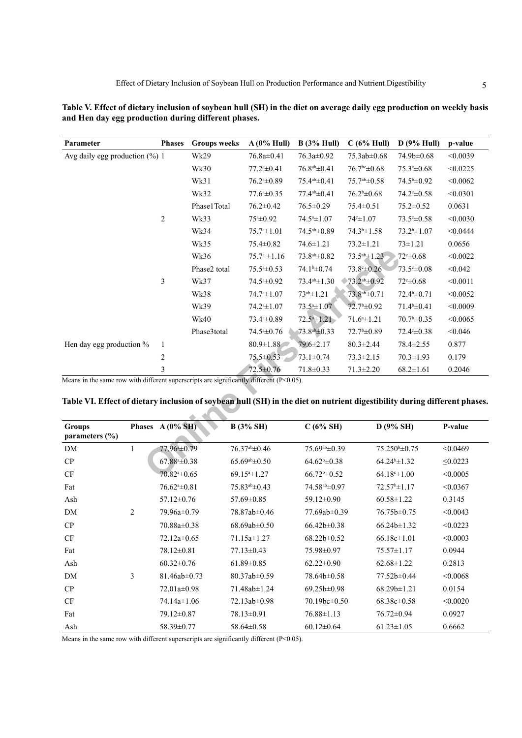| Table V. Effect of dietary inclusion of soybean hull (SH) in the diet on average daily egg production on weekly basis<br>and Hen day egg production during different phases. |  |                                                                                     |  |  |  |  |  |  |  |
|------------------------------------------------------------------------------------------------------------------------------------------------------------------------------|--|-------------------------------------------------------------------------------------|--|--|--|--|--|--|--|
| Parameter                                                                                                                                                                    |  | Phases Groups weeks $A(0\%$ Hull) $B(3\%$ Hull) $C(6\%$ Hull) $D(9\%$ Hull) n-value |  |  |  |  |  |  |  |

| Parameter                                                                                                                 | <b>Phases</b>            | <b>Groups</b> weeks | $A(0\% Hull)$                     | B(3% Hull)               | C(6% Hull)                | D(9% Hull)                | p-value       |
|---------------------------------------------------------------------------------------------------------------------------|--------------------------|---------------------|-----------------------------------|--------------------------|---------------------------|---------------------------|---------------|
| Avg daily egg production $(\%)$ 1                                                                                         |                          | Wk29                | 76.8a±0.41                        | 76.3a±0.92               | 75.3ab±0.68               | 74.9b±0.68                | < 0.0039      |
|                                                                                                                           |                          | Wk30                | $77.24 \pm 0.41$                  | $76.8^{ab} \pm 0.41$     | $76.7^{\text{bc}}\pm0.68$ | $75.3 \pm 0.68$           | < 0.0225      |
|                                                                                                                           |                          | Wk31                | $76.24 \pm 0.89$                  | 75.4ab±0.41              | $75.7a^{b} \pm 0.58$      | $74.5^{\rm b}\pm0.92$     | < 0.0062      |
|                                                                                                                           |                          | Wk32                | $77.6^{\circ} \pm 0.35$           | $77.4^{ab} \pm 0.41$     | $76.2^b \pm 0.68$         | $74.2^{\circ} \pm 0.58$   | < 0.0301      |
|                                                                                                                           |                          | Phase1Total         | $76.2 \pm 0.42$                   | 76.5±0.29                | 75.4±0.51                 | $75.2 \pm 0.52$           | 0.0631        |
|                                                                                                                           | $\sqrt{2}$               | Wk33                | $75*+0.92$                        | 74.5 <sup>a</sup> ±1.07  | $74c \pm 1.07$            | $73.5^{\circ} \pm 0.58$   | < 0.0030      |
|                                                                                                                           |                          | Wk34                | $75.74 \pm 1.01$                  | $74.5^{ab} \pm 0.89$     | $74.3^{\circ} \pm 1.58$   | $73.2^b \pm 1.07$         | < 0.0444      |
|                                                                                                                           |                          | Wk35                | $75.4 \pm 0.82$                   | $74.6 \pm 1.21$          | $73.2 \pm 1.21$           | $73 \pm 1.21$             | 0.0656        |
|                                                                                                                           |                          | Wk36                | $75.7^{\circ}$ ±1.16              | 73.8 <sup>ab</sup> ±0.82 | $73.5^{ab} \pm 1.23$      | $72 - 0.68$               | < 0.0022      |
|                                                                                                                           |                          | Phase2 total        | $75.5^{\mathrm{a}}\text{\pm}0.53$ | $74.1b\pm0.74$           | $73.8^{\circ} \pm 0.26$   | $73.5^{\circ} \pm 0.08$   | < 0.042       |
|                                                                                                                           | 3                        | Wk37                | 74.5 <sup>a</sup> ±0.92           | $73.4^{ab} \pm 1.30$     | $2^{ab} \pm 0.92$         | $72^{\circ} \pm 0.68$     | < 0.0011      |
|                                                                                                                           |                          | Wk38                | $74.74 \pm 1.07$                  | $73^{ab} \pm 1.21$       | 73.8ab±0.71               | $72.4^{b} \pm 0.71$       | < 0.0052      |
|                                                                                                                           |                          | Wk39                | $74.24 \pm 1.07$                  | $73.54 \pm 1.07$         | 72.7 <sup>b</sup> ±0.92   | $71.4b\pm0.41$            | < 0.0009      |
|                                                                                                                           |                          | <b>Wk40</b>         | 73.4 <sup>a</sup> ±0.89           | $72.5^{\circ} \pm 1.21$  | $71.64 \pm 1.21$          | $70.7^{\rm b} \pm 0.35$   | < 0.0065      |
|                                                                                                                           |                          | Phase3total         | $74.54 \pm 0.76$                  | $73.8^{ab} \pm 0.33$     | $72.7^{\rm b}\pm0.89$     | $72.4 \pm 0.38$           | < 0.046       |
| Hen day egg production $%$                                                                                                | $\mathbf{1}$             |                     | $80.9 \pm 1.88$                   | 79.6±2.17                | $80.3 \pm 2.44$           | $78.4 \pm 2.55$           | 0.877         |
|                                                                                                                           | $\overline{c}$           |                     | 75.5±0.53                         | $73.1 \pm 0.74$          | $73.3 \pm 2.15$           | $70.3 \pm 1.93$           | 0.179         |
|                                                                                                                           | 3                        |                     | 72.5±0.76                         | $71.8 \pm 0.33$          | $71.3 \pm 2.20$           | $68.2 \pm 1.61$           | 0.2046        |
| Means in the same row with different superscripts are significantly different $(P<0.05)$ .                                |                          |                     |                                   |                          |                           |                           |               |
|                                                                                                                           |                          |                     |                                   |                          |                           |                           |               |
| Table VI. Effect of dietary inclusion of soybean hull (SH) in the diet on nutrient digestibility during different phases. |                          |                     |                                   |                          |                           |                           |               |
| <b>Groups</b><br>parameters (%)                                                                                           | Phases $A(0\% S H)$      |                     | <b>B</b> (3% SH)                  | $C(6\% SH)$              |                           | D (9% SH)                 | P-value       |
| $\mathbf{1}$<br>DM                                                                                                        | 77.96 <sup>a</sup> ±0.79 |                     | 76.37ab±0.46                      | 75.69ab±0.39             |                           | 75.250 <sup>b</sup> ±0.75 | < 0.0469      |
| CP                                                                                                                        | $67.884 \pm 0.38$        |                     | $65.69a b \pm 0.50$               | $64.62^b \pm 0.38$       |                           | $64.24^{b} \pm 1.32$      | $\leq 0.0223$ |
| CF                                                                                                                        | 70.82 <sup>a</sup> ±0.65 |                     | $69.154 \pm 1.27$                 | $66.72^b \pm 0.52$       |                           | $64.18^{\circ} \pm 1.00$  | < 0.0005      |

## **Table VI. Effect of dietary inclusion of soybean hull (SH) in the diet on nutrient digestibility during different phases.**

| <b>Groups</b><br>parameters $(\% )$ |                | Phases $A(0\% S H)$ | $B(3\% SH)$           | $C(6\% SH)$               | $D(9\% SH)$               | P-value       |
|-------------------------------------|----------------|---------------------|-----------------------|---------------------------|---------------------------|---------------|
| DM                                  | 1              | 77.96 ± 0.79        | $76.37^{ab} \pm 0.46$ | $75.69a \pm 0.39$         | $75.250^{\circ} \pm 0.75$ | < 0.0469      |
| CP                                  |                | $67.884 \pm 0.38$   | $65.69a b \pm 0.50$   | $64.62^{\rm b}\pm0.38$    | $64.24^{\circ}$ ±1.32     | $\leq 0.0223$ |
| CF                                  |                | $70.82 \pm 0.65$    | $69.154 \pm 1.27$     | $66.72^b \pm 0.52$        | $64.18^{\circ} \pm 1.00$  | < 0.0005      |
| Fat                                 |                | $76.62 \pm 0.81$    | $75.83^{ab} \pm 0.43$ | 74.58 <sup>ab</sup> ±0.97 | $72.57^{\rm b} \pm 1.17$  | < 0.0367      |
| Ash                                 |                | $57.12 \pm 0.76$    | $57.69 \pm 0.85$      | $59.12 \pm 0.90$          | $60.58 \pm 1.22$          | 0.3145        |
| DM                                  | $\overline{2}$ | 79.96a±0.79         | 78.87ab±0.46          | 77.69ab $\pm$ 0.39        | $76.75b \pm 0.75$         | < 0.0043      |
| CP                                  |                | 70.88a±0.38         | $68.69ab \pm 0.50$    | $66.42b \pm 0.38$         | $66.24b \pm 1.32$         | < 0.0223      |
| CF                                  |                | $72.12a \pm 0.65$   | $71.15a \pm 1.27$     | $68.22b \pm 0.52$         | $66.18c \pm 1.01$         | < 0.0003      |
| Fat                                 |                | $78.12 \pm 0.81$    | $77.13 \pm 0.43$      | 75.98±0.97                | $75.57 \pm 1.17$          | 0.0944        |
| Ash                                 |                | $60.32 \pm 0.76$    | $61.89 \pm 0.85$      | $62.22 \pm 0.90$          | $62.68 \pm 1.22$          | 0.2813        |
| DM                                  | 3              | $81.46ab \pm 0.73$  | $80.37ab \pm 0.59$    | 78.64b±0.58               | $77.52b \pm 0.44$         | < 0.0068      |
| CP                                  |                | $72.01a \pm 0.98$   | 71.48ab±1.24          | $69.25b \pm 0.98$         | $68.29b \pm 1.21$         | 0.0154        |
| CF                                  |                | 74.14a±1.06         | $72.13ab \pm 0.98$    | $70.19bc \pm 0.50$        | $68.38c \pm 0.58$         | < 0.0020      |
| Fat                                 |                | 79.12±0.87          | 78.13±0.91            | $76.88 \pm 1.13$          | $76.72 \pm 0.94$          | 0.0927        |
| Ash                                 |                | 58.39±0.77          | $58.64 \pm 0.58$      | $60.12 \pm 0.64$          | $61.23 \pm 1.05$          | 0.6662        |

Means in the same row with different superscripts are significantly different  $(P<0.05)$ .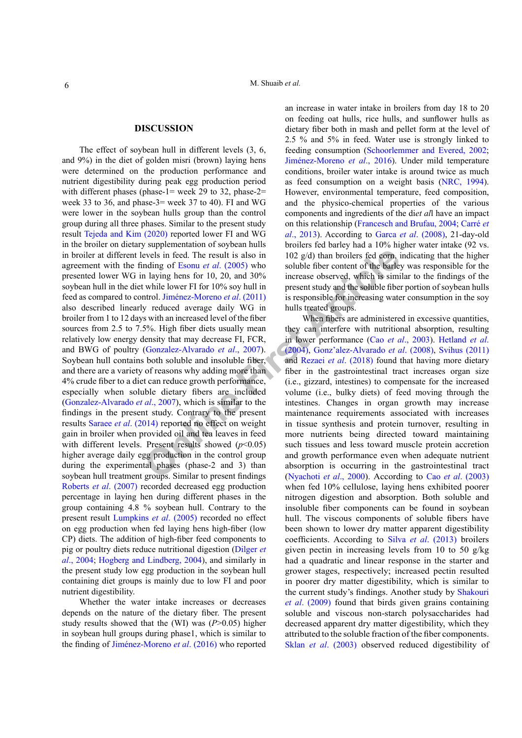#### **DISCUSSION**

bevels in feed. The result is also in<br>  $\frac{1}{2}$  are the sells in feed. The result is also in<br>  $\frac{1}{2}$  and all  $\frac{1}{2}$  and 30% increase observed, which is similar<br>
twithe lower Fi for 10% soy hull in present study and The effect of soybean hull in different levels (3, 6, and 9%) in the diet of golden misri (brown) laying hens were determined on the production performance and nutrient digestibility during peak egg production period with different phases (phase-1= week 29 to 32, phase-2= week 33 to 36, and phase-3= week 37 to 40). FI and WG were lower in the soybean hulls group than the control group during all three phases. Similar to the present study result [Tejeda and Kim \(2020\)](#page-8-2) reported lower FI and WG in the broiler on dietary supplementation of soybean hulls in broiler at different levels in feed. The result is also in agreement with the finding of Esonu *et al*. (2005) who presented lower WG in laying hens for 10, 20, and 30% soybean hull in the diet while lower FI for 10% soy hull in feed as compared to control. Jiménez-Moreno *et al*. (2011) also described linearly reduced average daily WG in broiler from 1 to 12 days with an increased level of the fiber sources from 2.5 to 7.5%. High fiber diets usually mean relatively low energy density that may decrease FI, FCR, and BWG of poultry (Gonzalez-Alvarado *et al*., 2007). Soybean hull contains both soluble and insoluble fiber, and there are a variety of reasons why adding more than 4% crude fiber to a diet can reduce growth performance, especially when soluble dietary fibers are included (Gonzalez-Alvarado *et al*., 2007), which is similar to the findings in the present study. Contrary to the present results Saraee *et al*[. \(2014\)](#page-7-5) reported no effect on weight gain in broiler when provided oil and tea leaves in feed with different levels. Present results showed (*p*<0.05) higher average daily egg production in the control group during the experimental phases (phase-2 and 3) than soybean hull treatment groups. Similar to present findings [Roberts](#page-7-6) *et al*. (2007) recorded decreased egg production percentage in laying hen during different phases in the group containing 4.8 % soybean hull. Contrary to the present result [Lumpkins](#page-7-7) *et al*. (2005) recorded no effect on egg production when fed laying hens high-fiber (low CP) diets. The addition of high-fiber feed components to pig or poultry diets reduce nutritional digestion ([Dilger](#page-6-2) *et al*[., 2004;](#page-6-2) Hogberg and Lindberg, 2004), and similarly in the present study low egg production in the soybean hull containing diet groups is mainly due to low FI and poor nutrient digestibility.

Whether the water intake increases or decreases depends on the nature of the dietary fiber. The present study results showed that the (WI) was ( $P$   $\geq$  0.05) higher in soybean hull groups during phase1, which is similar to the finding of Jiménez-Moreno *et al*. (2016) who reported

an increase in water intake in broilers from day 18 to 20 on feeding oat hulls, rice hulls, and sunflower hulls as dietary fiber both in mash and pellet form at the level of 2.5 % and 5% in feed. Water use is strongly linked to feeding consumption ([Schoorlemmer and Evered, 2002](#page-7-8); Jiménez-Moreno *et al*., 2016). Under mild temperature conditions, broiler water intake is around twice as much as feed consumption on a weight basis ([NRC, 1994](#page-7-9)). However, environmental temperature, feed composition, and the physico-chemical properties of the various components and ingredients of the di*et al*l have an impact on this relationship ([Francesch and Brufau, 2004;](#page-6-3) Carré *et al*., 2013). According to Garca *et al*. (2008), 21-day-old broilers fed barley had a 10% higher water intake (92 vs. 102 g/d) than broilers fed corn, indicating that the higher soluble fiber content of the barley was responsible for the increase observed, which is similar to the findings of the present study and the soluble fiber portion of soybean hulls is responsible for increasing water consumption in the soy hulls treated groups.

When fibers are administered in excessive quantities, they can interfere with nutritional absorption, resulting in lower performance (Cao *et al*., 2003). [Hetland](#page-7-10) *et al*. (2004), Gonz'alez-Alvarado *et al*. (2008), [Svihus \(2011\)](#page-8-3)  and Rezaei *et al*. (2018) found that having more dietary fiber in the gastrointestinal tract increases organ size (i.e., gizzard, intestines) to compensate for the increased volume (i.e., bulky diets) of feed moving through the intestines. Changes in organ growth may increase maintenance requirements associated with increases in tissue synthesis and protein turnover, resulting in more nutrients being directed toward maintaining such tissues and less toward muscle protein accretion and growth performance even when adequate nutrient absorption is occurring in the gastrointestinal tract (Nyachoti *et al*., 2000). According to Cao *et al*[. \(2003\)](#page-6-4) when fed 10% cellulose, laying hens exhibited poorer nitrogen digestion and absorption. Both soluble and insoluble fiber components can be found in soybean hull. The viscous components of soluble fibers have been shown to lower dry matter apparent digestibility coefficients. According to Silva *et al*[. \(2013\)](#page-7-13) broilers given pectin in increasing levels from 10 to 50 g/kg had a quadratic and linear response in the starter and grower stages, respectively; increased pectin resulted in poorer dry matter digestibility, which is similar to the current study's findings. Another study by [Shakouri](#page-7-14)  *et al*[. \(2009\)](#page-7-14) found that birds given grains containing soluble and viscous non-starch polysaccharides had decreased apparent dry matter digestibility, which they attributed to the soluble fraction of the fiber components. Sklan *et al*[. \(2003\)](#page-7-15) observed reduced digestibility of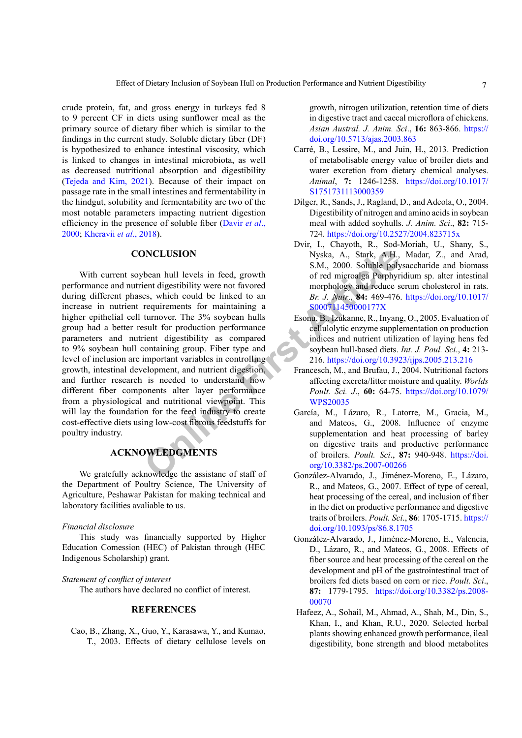crude protein, fat, and gross energy in turkeys fed 8 to 9 percent CF in diets using sunflower meal as the primary source of dietary fiber which is similar to the findings in the current study. Soluble dietary fiber (DF) is hypothesized to enhance intestinal viscosity, which is linked to changes in intestinal microbiota, as well as decreased nutritional absorption and digestibility [\(Tejeda and Kim, 2021\)](#page-8-4). Because of their impact on passage rate in the small intestines and fermentability in the hindgut, solubility and fermentability are two of the most notable parameters impacting nutrient digestion efficiency in the presence of soluble fiber ([Davir](#page-6-5) *et al*., [2000;](#page-6-5) [Kheravii](#page-7-16) *et al*., 2018).

#### **CONCLUSION**

**ONCLUSION**<br>
S.M., 2000. Soluble poly<br>
bean hull levels in feed, growth<br>
ient digestibility were not favored<br>
ient digestibility were not favored<br>
es, which could be linked to an<br> *Br. J. Nutr.*, **84:** 469-476.<br>
requiremen With current soybean hull levels in feed, growth performance and nutrient digestibility were not favored during different phases, which could be linked to an increase in nutrient requirements for maintaining a higher epithelial cell turnover. The 3% soybean hulls group had a better result for production performance parameters and nutrient digestibility as compared to 9% soybean hull containing group. Fiber type and level of inclusion are important variables in controlling growth, intestinal development, and nutrient digestion, and further research is needed to understand how different fiber components alter layer performance from a physiological and nutritional viewpoint. This will lay the foundation for the feed industry to create cost-effective diets using low-cost fibrous feedstuffs for poultry industry.

### **ACKNOWLEDGMENTS**

We gratefully acknowledge the assistanc of staff of the Department of Poultry Science, The University of Agriculture, Peshawar Pakistan for making technical and laboratory facilities avaliable to us.

#### *Financial disclosure*

This study was financially supported by Higher Education Comession (HEC) of Pakistan through (HEC Indigenous Scholarship) grant.

#### *Statement of conflict of interest*

The authors have declared no conflict of interest.

#### **REFERENCES**

<span id="page-6-4"></span>Cao, B., Zhang, X., Guo, Y., Karasawa, Y., and Kumao, T., 2003. Effects of dietary cellulose levels on growth, nitrogen utilization, retention time of diets in digestive tract and caecal microflora of chickens. *Asian Austral. J. Anim. Sci*., **16:** 863-866. [https://](https://doi.org/10.5713/ajas.2003.863) [doi.org/10.5713/ajas.2003.863](https://doi.org/10.5713/ajas.2003.863)

- Carré, B., Lessire, M., and Juin, H., 2013. Prediction of metabolisable energy value of broiler diets and water excretion from dietary chemical analyses. *Animal*, **7:** 1246-1258. [https://doi.org/10.1017/](https://doi.org/10.1017/S1751731113000359) [S1751731113000359](https://doi.org/10.1017/S1751731113000359)
- <span id="page-6-2"></span>Dilger, R., Sands, J., Ragland, D., and Adeola, O., 2004. Digestibility of nitrogen and amino acids in soybean meal with added soyhulls. *J. Anim. Sci*., **82:** 715- 724.<https://doi.org/10.2527/2004.823715x>
- <span id="page-6-5"></span>Dvir, I., Chayoth, R., Sod-Moriah, U., Shany, S., Nyska, A., Stark, A.H., Madar, Z., and Arad, S.M., 2000. Soluble polysaccharide and biomass of red microalga Porphyridium sp. alter intestinal morphology and reduce serum cholesterol in rats. *Br. J. Nutr*., **84:** 469-476. [https://doi.org/10.1017/](https://doi.org/10.1017/S000711450000177X) S000711450000177X
- <span id="page-6-1"></span>Esonu, B., Izukanne, R., Inyang, O., 2005. Evaluation of cellulolytic enzyme supplementation on production indices and nutrient utilization of laying hens fed soybean hull-based diets. *Int. J. Poul. Sci*., **4:** 213- 216.<https://doi.org/10.3923/ijps.2005.213.216>
- <span id="page-6-3"></span>Francesch, M., and Brufau, J., 2004. Nutritional factors affecting excreta/litter moisture and quality. *Worlds Poult. Sci. J*., **60:** 64-75. [https://doi.org/10.1079/](https://doi.org/10.1079/WPS20035) WPS20035
- García, M., Lázaro, R., Latorre, M., Gracia, M., and Mateos, G., 2008. Influence of enzyme supplementation and heat processing of barley on digestive traits and productive performance of broilers. *Poult. Sci*., **87:** 940-948. [https://doi.](https://doi.org/10.3382/ps.2007-00266) org/10.3382/ps.2007-00266
- González-Alvarado, J., Jiménez-Moreno, E., Lázaro, R., and Mateos, G., 2007. Effect of type of cereal, heat processing of the cereal, and inclusion of fiber in the diet on productive performance and digestive traits of broilers. *Poult. Sci*., **86**: 1705-1715. [https://](https://doi.org/10.1093/ps/86.8.1705) [doi.org/10.1093/ps/86.8.1705](https://doi.org/10.1093/ps/86.8.1705)
- González-Alvarado, J., Jiménez-Moreno, E., Valencia, D., Lázaro, R., and Mateos, G., 2008. Effects of fiber source and heat processing of the cereal on the development and pH of the gastrointestinal tract of broilers fed diets based on corn or rice. *Poult. Sci*., **87:** 1779-1795. [https://doi.org/10.3382/ps.2008-](https://doi.org/10.3382/ps.2008-00070) [00070](https://doi.org/10.3382/ps.2008-00070)
- <span id="page-6-0"></span> Hafeez, A., Sohail, M., Ahmad, A., Shah, M., Din, S., Khan, I., and Khan, R.U., 2020. Selected herbal plants showing enhanced growth performance, ileal digestibility, bone strength and blood metabolites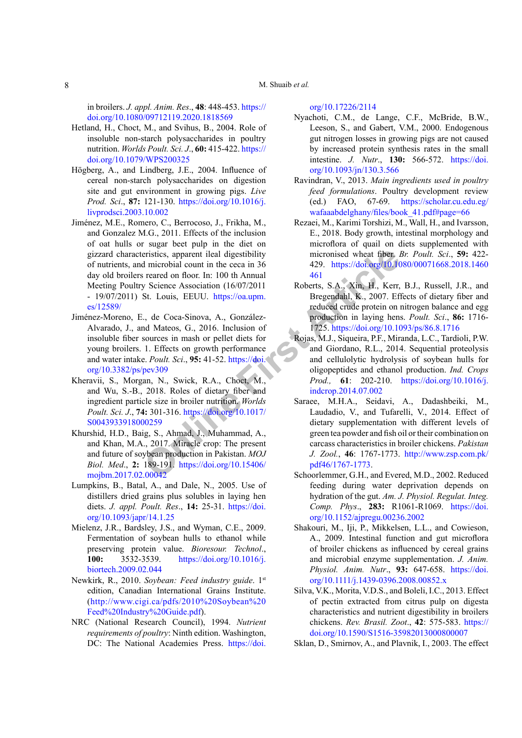#### M. Shuaib *et al.*

in broilers. *J. appl. Anim. Res*., **48**: 448-453. [https://](https://doi.org/10.1080/09712119.2020.1818569) [doi.org/10.1080/09712119.2020.1818569](https://doi.org/10.1080/09712119.2020.1818569)

- <span id="page-7-10"></span>Hetland, H., Choct, M., and Svihus, B., 2004. Role of insoluble non-starch polysaccharides in poultry nutrition. *Worlds Poult. Sci. J*., **60:** 415-422. [https://](https://doi.org/10.1079/WPS200325) [doi.org/10.1079/WPS200325](https://doi.org/10.1079/WPS200325)
- Högberg, A., and Lindberg, J.E., 2004. Influence of cereal non-starch polysaccharides on digestion site and gut environment in growing pigs. *Live Prod. Sci*., **87:** 121-130. [https://doi.org/10.1016/j.](https://doi.org/10.1016/j.livprodsci.2003.10.002) [livprodsci.2003.10.002](https://doi.org/10.1016/j.livprodsci.2003.10.002)
- eristics, apparent ileal digestibility<br>
micronised wheat fiber, *l*<br>
microival count in the ceca in 36 and 429. https://doi.org/10.10<br>
Science Association (16/07/2011 Roberts, S.A., Xin, H., Kerr,<br>
St. Louis, EEUU. https:/ Jiménez, M.E., Romero, C., Berrocoso, J., Frikha, M., and Gonzalez M.G., 2011. Effects of the inclusion of oat hulls or sugar beet pulp in the diet on gizzard characteristics, apparent ileal digestibility of nutrients, and microbial count in the ceca in 36 day old broilers reared on floor. In: 100 th Annual Meeting Poultry Science Association (16/07/2011 - 19/07/2011) St. Louis, EEUU. https://oa.upm. [es/12589/](https://oa.upm.es/12589/)
- Jiménez-Moreno, E., de Coca-Sinova, A., González-Alvarado, J., and Mateos, G., 2016. Inclusion of insoluble fiber sources in mash or pellet diets for young broilers. 1. Effects on growth performance and water intake. *Poult. Sci*., **95:** 41-52. https://doi. [org/10.3382/ps/pev309](https://doi.org/10.3382/ps/pev309)
- <span id="page-7-16"></span>Kheravii, S., Morgan, N., Swick, R.A., Choct, M., and Wu, S.-B., 2018. Roles of dietary fiber and ingredient particle size in broiler nutrition. *Worlds Poult. Sci. J*., **74:** 301-316. https://doi.org/10.1017/ [S0043933918000259](https://doi.org/10.1017/S0043933918000259)
- <span id="page-7-1"></span>Khurshid, H.D., Baig, S., Ahmad, J., Muhammad, A., and Khan, M.A., 2017. Miracle crop: The present and future of soybean production in Pakistan. *MOJ Biol. Med*., **2:** 189-191. https://doi.org/10.15406/ [mojbm.2017.02.00042](https://doi.org/10.15406/mojbm.2017.02.00042)
- <span id="page-7-7"></span>Lumpkins, B., Batal, A., and Dale, N., 2005. Use of distillers dried grains plus solubles in laying hen diets. *J. appl. Poult. Res*., **14:** 25-31. [https://doi.](https://doi.org/10.1093/japr/14.1.25) [org/10.1093/japr/14.1.25](https://doi.org/10.1093/japr/14.1.25)
- <span id="page-7-3"></span>Mielenz, J.R., Bardsley, J.S., and Wyman, C.E., 2009. Fermentation of soybean hulls to ethanol while preserving protein value. *Bioresour. Technol*., **100:** 3532-3539. [https://doi.org/10.1016/j.](https://doi.org/10.1016/j.biortech.2009.02.044) [biortech.2009.02.044](https://doi.org/10.1016/j.biortech.2009.02.044)
- <span id="page-7-4"></span>Newkirk, R., 2010. *Soybean: Feed industry guide*. 1st edition, Canadian International Grains Institute. ([http://www.cigi.ca/pdfs/2010%20Soybean%20](http://www.cigi.ca/pdfs/2010%20Soybean%20Feed%20Industry%20Guide.pdf) [Feed%20Industry%20Guide.pdf](http://www.cigi.ca/pdfs/2010%20Soybean%20Feed%20Industry%20Guide.pdf)).
- <span id="page-7-9"></span>NRC (National Research Council), 1994. *Nutrient requirements of poultry*: Ninth edition. Washington, DC: The National Academies Press. [https://doi.](https://doi.org/10.17226/2114)

#### <span id="page-7-12"></span>[org/10.17226/2114](https://doi.org/10.17226/2114)

- Nyachoti, C.M., de Lange, C.F., McBride, B.W., Leeson, S., and Gabert, V.M., 2000. Endogenous gut nitrogen losses in growing pigs are not caused by increased protein synthesis rates in the small intestine. *J. Nutr*., **130:** 566-572. [https://doi.](https://doi.org/10.1093/jn/130.3.566) [org/10.1093/jn/130.3.566](https://doi.org/10.1093/jn/130.3.566)
- <span id="page-7-2"></span>Ravindran, V., 2013. *Main ingredients used in poultry feed formulations*. Poultry development review (ed.) FAO, 67-69. [https://scholar.cu.edu.eg/](https://scholar.cu.edu.eg/wafaaabdelghany/files/book_41.pdf#page=66) [wafaaabdelghany/files/book\\_41.pdf#page=66](https://scholar.cu.edu.eg/wafaaabdelghany/files/book_41.pdf#page=66)
- <span id="page-7-11"></span>Rezaei, M., Karimi Torshizi, M., Wall, H., and Ivarsson, E., 2018. Body growth, intestinal morphology and microflora of quail on diets supplemented with micronised wheat fiber. *Br. Poult. Sci*., **59:** 422- 429. [https://doi.org/10.1080/00071668.2018.1460](https://doi.org/10.1080/00071668.2018.1460461) 461
- <span id="page-7-6"></span>Roberts, S.A., Xin, H., Kerr, B.J., Russell, J.R., and Bregendahl, K., 2007. Effects of dietary fiber and reduced crude protein on nitrogen balance and egg production in laying hens. *Poult. Sci*., **86:** 1716- 1725.<https://doi.org/10.1093/ps/86.8.1716>
- <span id="page-7-0"></span>Rojas, M.J., Siqueira, P.F., Miranda, L.C., Tardioli, P.W. and Giordano, R.L., 2014. Sequential proteolysis and cellulolytic hydrolysis of soybean hulls for oligopeptides and ethanol production. *Ind. Crops Prod.,* **61**: 202-210. [https://doi.org/10.1016/j.](https://doi.org/10.1016/j.indcrop.2014.07.002) indcrop.2014.07.002
- <span id="page-7-5"></span>Saraee, M.H.A., Seidavi, A., Dadashbeiki, M., Laudadio, V., and Tufarelli, V., 2014. Effect of dietary supplementation with different levels of green tea powder and fish oil or their combination on carcass characteristics in broiler chickens. *Pakistan J. Zool.*, **46**: 1767-1773. [http://www.zsp.com.pk/](http://www.zsp.com.pk/pdf46/1767-1773) pdf46/1767-1773.
- <span id="page-7-8"></span>Schoorlemmer, G.H., and Evered, M.D., 2002. Reduced feeding during water deprivation depends on hydration of the gut. *Am. J. Physiol. Regulat. Integ. Comp. Phys*., **283:** R1061-R1069. [https://doi.](https://doi.org/10.1152/ajpregu.00236.2002) [org/10.1152/ajpregu.00236.2002](https://doi.org/10.1152/ajpregu.00236.2002)
- <span id="page-7-14"></span>Shakouri, M., Iji, P., Mikkelsen, L.L., and Cowieson, A., 2009. Intestinal function and gut microflora of broiler chickens as influenced by cereal grains and microbial enzyme supplementation. *J. Anim. Physiol. Anim. Nutr*., **93:** 647-658. [https://doi.](https://doi.org/10.1111/j.1439-0396.2008.00852.x) [org/10.1111/j.1439-0396.2008.00852.x](https://doi.org/10.1111/j.1439-0396.2008.00852.x)
- <span id="page-7-13"></span>Silva, V.K., Morita, V.D.S., and Boleli, I.C., 2013. Effect of pectin extracted from citrus pulp on digesta characteristics and nutrient digestibility in broilers chickens. *Rev. Brasil. Zoot*., **42**: 575-583. [https://](https://doi.org/10.1590/S1516-35982013000800007) [doi.org/10.1590/S1516-35982013000800007](https://doi.org/10.1590/S1516-35982013000800007)
- <span id="page-7-15"></span>Sklan, D., Smirnov, A., and Plavnik, I., 2003. The effect